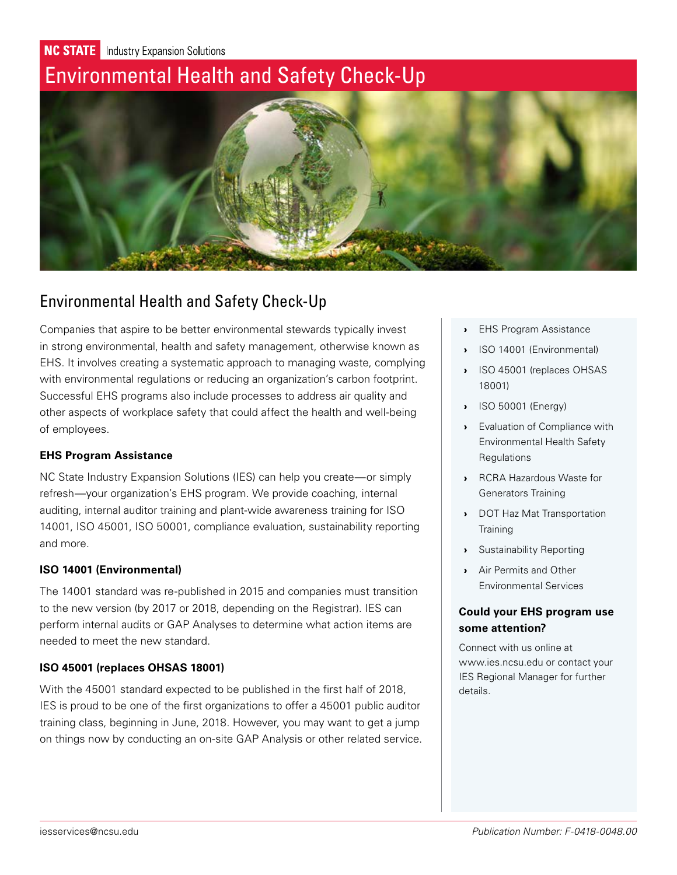**NC STATE** Industry Expansion Solutions

# Environmental Health and Safety Check-Up



# Environmental Health and Safety Check-Up

Companies that aspire to be better environmental stewards typically invest in strong environmental, health and safety management, otherwise known as EHS. It involves creating a systematic approach to managing waste, complying with environmental regulations or reducing an organization's carbon footprint. Successful EHS programs also include processes to address air quality and other aspects of workplace safety that could affect the health and well-being of employees.

# **EHS Program Assistance**

NC State Industry Expansion Solutions (IES) can help you create—or simply refresh—your organization's EHS program. We provide coaching, internal auditing, internal auditor training and plant-wide awareness training for ISO 14001, ISO 45001, ISO 50001, compliance evaluation, sustainability reporting and more.

# **ISO 14001 (Environmental)**

The 14001 standard was re-published in 2015 and companies must transition to the new version (by 2017 or 2018, depending on the Registrar). IES can perform internal audits or GAP Analyses to determine what action items are needed to meet the new standard.

# **ISO 45001 (replaces OHSAS 18001)**

With the 45001 standard expected to be published in the first half of 2018, IES is proud to be one of the first organizations to offer a 45001 public auditor training class, beginning in June, 2018. However, you may want to get a jump on things now by conducting an on-site GAP Analysis or other related service.

- › EHS Program Assistance
- › ISO 14001 (Environmental)
- › ISO 45001 (replaces OHSAS 18001)
- › ISO 50001 (Energy)
- › [Evaluation of Compliance with](#page-1-0)  [Environmental Health Safety](#page-1-0)  **Requlations**
- › [RCRA Hazardous Waste for](#page-1-0)  [Generators Training](#page-1-0)
- › [DOT Haz Mat Transportation](#page-1-0)  **[Training](#page-1-0)**
- › [Sustainability Reporting](#page-1-0)
- › [Air Permits and Other](#page-1-0)  [Environmental Services](#page-1-0)

# **Could your EHS program use some attention?**

Connect with us online at www.ies.ncsu.edu or contact your IES Regional Manager for further details.